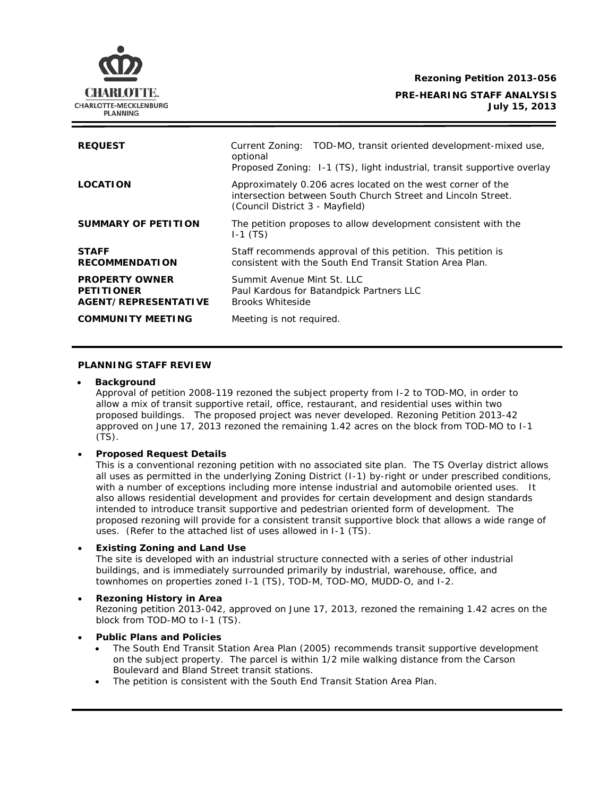**Rezoning Petition 2013-056**

## **PRE-HEARING STAFF ANALYSIS July 15, 2013**

| <b>REQUEST</b>                                                     | Current Zoning: TOD-MO, transit oriented development-mixed use,<br>optional<br>Proposed Zoning: I-1 (TS), light industrial, transit supportive overlay         |
|--------------------------------------------------------------------|----------------------------------------------------------------------------------------------------------------------------------------------------------------|
| <b>LOCATION</b>                                                    | Approximately 0.206 acres located on the west corner of the<br>intersection between South Church Street and Lincoln Street.<br>(Council District 3 - Mayfield) |
| SUMMARY OF PETITION                                                | The petition proposes to allow development consistent with the<br>$I-1$ (TS)                                                                                   |
| <b>STAFF</b><br><b>RECOMMENDATION</b>                              | Staff recommends approval of this petition. This petition is<br>consistent with the South End Transit Station Area Plan.                                       |
| <b>PROPERTY OWNER</b><br><b>PETITIONER</b><br>AGENT/REPRESENTATIVE | Summit Avenue Mint St. LLC<br>Paul Kardous for Batandpick Partners LLC<br><b>Brooks Whiteside</b>                                                              |
| <b>COMMUNITY MEETING</b>                                           | Meeting is not required.                                                                                                                                       |

## **PLANNING STAFF REVIEW**

#### • **Background**

Approval of petition 2008-119 rezoned the subject property from I-2 to TOD-MO, in order to allow a mix of transit supportive retail, office, restaurant, and residential uses within two proposed buildings. The proposed project was never developed. Rezoning Petition 2013-42 approved on June 17, 2013 rezoned the remaining 1.42 acres on the block from TOD-MO to I-1 (TS).

### • **Proposed Request Details**

This is a conventional rezoning petition with no associated site plan. The TS Overlay district allows all uses as permitted in the underlying Zoning District (I-1) by-right or under prescribed conditions, with a number of exceptions including more intense industrial and automobile oriented uses. It also allows residential development and provides for certain development and design standards intended to introduce transit supportive and pedestrian oriented form of development. The proposed rezoning will provide for a consistent transit supportive block that allows a wide range of uses. (Refer to the attached list of uses allowed in I-1 (TS).

## • **Existing Zoning and Land Use**

The site is developed with an industrial structure connected with a series of other industrial buildings, and is immediately surrounded primarily by industrial, warehouse, office, and townhomes on properties zoned I-1 (TS), TOD-M, TOD-MO, MUDD-O, and I-2.

# • **Rezoning History in Area**

Rezoning petition 2013-042, approved on June 17, 2013, rezoned the remaining 1.42 acres on the block from TOD-MO to I-1 (TS).

#### • **Public Plans and Policies**

- The *South End Transit Station Area Plan* (2005) recommends transit supportive development on the subject property. The parcel is within 1/2 mile walking distance from the Carson Boulevard and Bland Street transit stations.
- The petition is consistent with the *South End Transit Station Area Plan*.

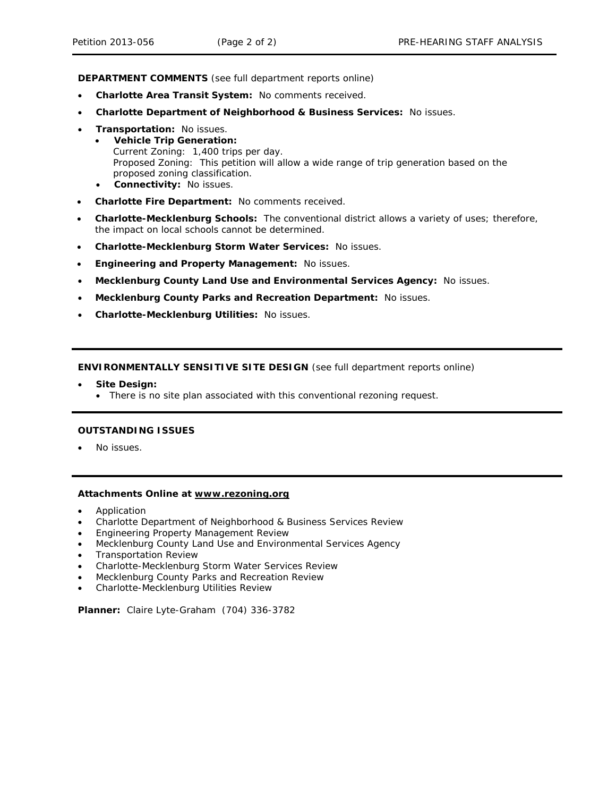**DEPARTMENT COMMENTS** (see full department reports online)

- **Charlotte Area Transit System:** No comments received.
- **Charlotte Department of Neighborhood & Business Services:** No issues.
- **Transportation:** No issues.
	- **Vehicle Trip Generation:** Current Zoning: 1,400 trips per day. Proposed Zoning: This petition will allow a wide range of trip generation based on the proposed zoning classification.
	- **Connectivity:** No issues.
- **Charlotte Fire Department:** No comments received.
- **Charlotte-Mecklenburg Schools:** The conventional district allows a variety of uses; therefore, the impact on local schools cannot be determined.
- **Charlotte-Mecklenburg Storm Water Services:** No issues.
- **Engineering and Property Management:** No issues.
- **Mecklenburg County Land Use and Environmental Services Agency:** No issues.
- **Mecklenburg County Parks and Recreation Department:** No issues.
- **Charlotte-Mecklenburg Utilities:** No issues.

**ENVIRONMENTALLY SENSITIVE SITE DESIGN** (see full department reports online)

- **Site Design:**
	- There is no site plan associated with this conventional rezoning request.

#### **OUTSTANDING ISSUES**

• No issues.

## **Attachments Online at www.rezoning.org**

- Application
- Charlotte Department of Neighborhood & Business Services Review
- Engineering Property Management Review
- Mecklenburg County Land Use and Environmental Services Agency
- Transportation Review
- Charlotte-Mecklenburg Storm Water Services Review
- Mecklenburg County Parks and Recreation Review
- Charlotte-Mecklenburg Utilities Review

**Planner:** Claire Lyte-Graham (704) 336-3782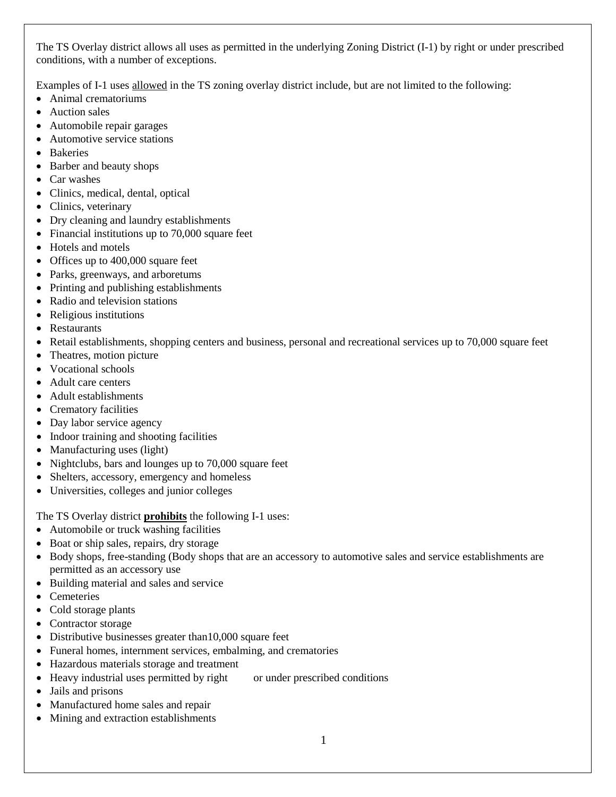The TS Overlay district allows all uses as permitted in the underlying Zoning District (I-1) by right or under prescribed conditions, with a number of exceptions.

Examples of I-1 uses allowed in the TS zoning overlay district include, but are not limited to the following:

- Animal crematoriums
- Auction sales
- Automobile repair garages
- Automotive service stations
- Bakeries
- Barber and beauty shops
- Car washes
- Clinics, medical, dental, optical
- Clinics, veterinary
- Dry cleaning and laundry establishments
- Financial institutions up to 70,000 square feet
- Hotels and motels
- Offices up to 400,000 square feet
- Parks, greenways, and arboretums
- Printing and publishing establishments
- Radio and television stations
- Religious institutions
- Restaurants
- Retail establishments, shopping centers and business, personal and recreational services up to 70,000 square feet
- Theatres, motion picture
- Vocational schools
- Adult care centers
- Adult establishments
- Crematory facilities
- Day labor service agency
- Indoor training and shooting facilities
- Manufacturing uses (light)
- Nightclubs, bars and lounges up to 70,000 square feet
- Shelters, accessory, emergency and homeless
- Universities, colleges and junior colleges

The TS Overlay district **prohibits** the following I-1 uses:

- Automobile or truck washing facilities
- Boat or ship sales, repairs, dry storage
- Body shops, free-standing (Body shops that are an accessory to automotive sales and service establishments are permitted as an accessory use
- Building material and sales and service
- Cemeteries
- Cold storage plants
- Contractor storage
- Distributive businesses greater than 10,000 square feet
- Funeral homes, internment services, embalming, and crematories
- Hazardous materials storage and treatment
- Heavy industrial uses permitted by right or under prescribed conditions
- Jails and prisons
- Manufactured home sales and repair
- Mining and extraction establishments